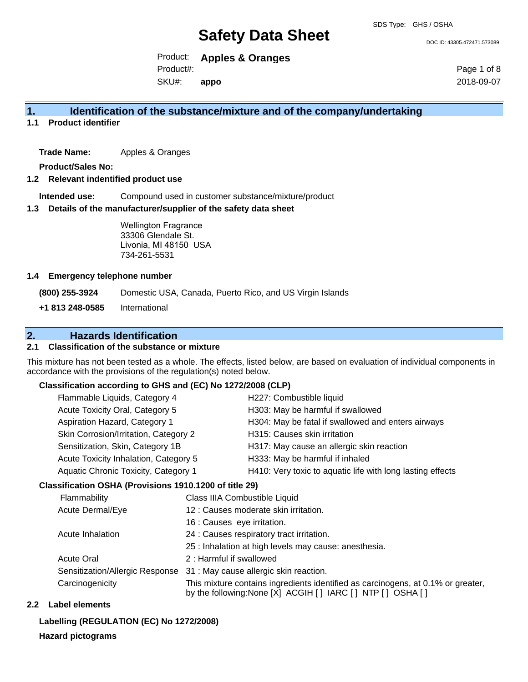DOC ID: 43305.472471.573089

Product: **Apples & Oranges** SKU#: Product#: **appo**

Page 1 of 8 2018-09-07

### **1. Identification of the substance/mixture and of the company/undertaking**

**1.1 Product identifier**

**Trade Name:** Apples & Oranges

**Product/Sales No:**

#### **1.2 Relevant indentified product use**

**Intended use:** Compound used in customer substance/mixture/product

#### **1.3 Details of the manufacturer/supplier of the safety data sheet**

Wellington Fragrance 33306 Glendale St. Livonia, MI 48150 USA 734-261-5531

#### **1.4 Emergency telephone number**

**(800) 255-3924** Domestic USA, Canada, Puerto Rico, and US Virgin Islands

**+1 813 248-0585** International

### **2. Hazards Identification**

#### **2.1 Classification of the substance or mixture**

This mixture has not been tested as a whole. The effects, listed below, are based on evaluation of individual components in accordance with the provisions of the regulation(s) noted below.

#### **Classification according to GHS and (EC) No 1272/2008 (CLP)**

| Flammable Liquids, Category 4         | H227: Combustible liquid                                   |
|---------------------------------------|------------------------------------------------------------|
| Acute Toxicity Oral, Category 5       | H303: May be harmful if swallowed                          |
| Aspiration Hazard, Category 1         | H304: May be fatal if swallowed and enters airways         |
| Skin Corrosion/Irritation, Category 2 | H315: Causes skin irritation                               |
| Sensitization, Skin, Category 1B      | H317: May cause an allergic skin reaction                  |
| Acute Toxicity Inhalation, Category 5 | H333: May be harmful if inhaled                            |
| Aquatic Chronic Toxicity, Category 1  | H410: Very toxic to aquatic life with long lasting effects |
|                                       |                                                            |

#### **Classification OSHA (Provisions 1910.1200 of title 29)**

| Flammability                    | Class IIIA Combustible Liquid                                                                                                                      |
|---------------------------------|----------------------------------------------------------------------------------------------------------------------------------------------------|
| <b>Acute Dermal/Eye</b>         | 12 : Causes moderate skin irritation.                                                                                                              |
|                                 | 16 : Causes eye irritation.                                                                                                                        |
| Acute Inhalation                | 24 : Causes respiratory tract irritation.                                                                                                          |
|                                 | 25 : Inhalation at high levels may cause: anesthesia.                                                                                              |
| <b>Acute Oral</b>               | 2: Harmful if swallowed                                                                                                                            |
| Sensitization/Allergic Response | 31 : May cause allergic skin reaction.                                                                                                             |
| Carcinogenicity                 | This mixture contains ingredients identified as carcinogens, at 0.1% or greater,<br>by the following: None [X] ACGIH [ ] IARC [ ] NTP [ ] OSHA [ ] |

#### **2.2 Label elements**

#### **Labelling (REGULATION (EC) No 1272/2008)**

**Hazard pictograms**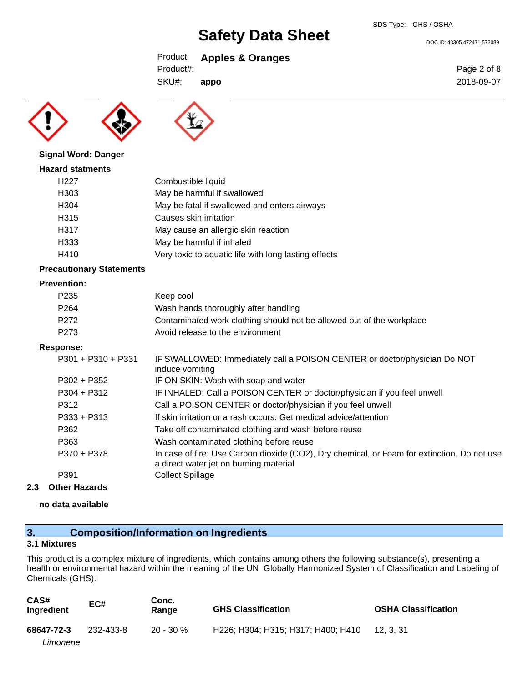DOC ID: 43305.472471.573089

Product: **Apples & Oranges**

**appo**



SKU#: Product#:

**Signal Word: Danger**

#### **Hazard statments**

| H <sub>227</sub> | Combustible liquid                                   |
|------------------|------------------------------------------------------|
| H <sub>303</sub> | May be harmful if swallowed                          |
| H <sub>304</sub> | May be fatal if swallowed and enters airways         |
| H315             | Causes skin irritation                               |
| H317             | May cause an allergic skin reaction                  |
| H333             | May be harmful if inhaled                            |
| H410             | Very toxic to aquatic life with long lasting effects |

#### **Precautionary Statements**

#### **Prevention:**

| г гетениоп.          |                                                                                                                                       |
|----------------------|---------------------------------------------------------------------------------------------------------------------------------------|
| P <sub>235</sub>     | Keep cool                                                                                                                             |
| P <sub>264</sub>     | Wash hands thoroughly after handling                                                                                                  |
| P <sub>272</sub>     | Contaminated work clothing should not be allowed out of the workplace                                                                 |
| P273                 | Avoid release to the environment                                                                                                      |
| Response:            |                                                                                                                                       |
| $P301 + P310 + P331$ | IF SWALLOWED: Immediately call a POISON CENTER or doctor/physician Do NOT<br>induce vomiting                                          |
| $P302 + P352$        | IF ON SKIN: Wash with soap and water                                                                                                  |
| $P304 + P312$        | IF INHALED: Call a POISON CENTER or doctor/physician if you feel unwell                                                               |
| P312                 | Call a POISON CENTER or doctor/physician if you feel unwell                                                                           |
| $P333 + P313$        | If skin irritation or a rash occurs: Get medical advice/attention                                                                     |
| P362                 | Take off contaminated clothing and wash before reuse                                                                                  |
| P363                 | Wash contaminated clothing before reuse                                                                                               |
| P370 + P378          | In case of fire: Use Carbon dioxide (CO2), Dry chemical, or Foam for extinction. Do not use<br>a direct water jet on burning material |
| P391                 | <b>Collect Spillage</b>                                                                                                               |

#### **2.3 Other Hazards**

#### **no data available**

## **3. Composition/Information on Ingredients**

#### **3.1 Mixtures**

This product is a complex mixture of ingredients, which contains among others the following substance(s), presenting a health or environmental hazard within the meaning of the UN Globally Harmonized System of Classification and Labeling of Chemicals (GHS):

| CAS#<br>Ingredient | EC#       | Conc.<br>Range | <b>GHS Classification</b>          | <b>OSHA Classification</b> |
|--------------------|-----------|----------------|------------------------------------|----------------------------|
| 68647-72-3         | 232-433-8 | $20 - 30 \%$   | H226; H304; H315; H317; H400; H410 | 12. 3. 31                  |
| Limonene           |           |                |                                    |                            |

Page 2 of 8 2018-09-07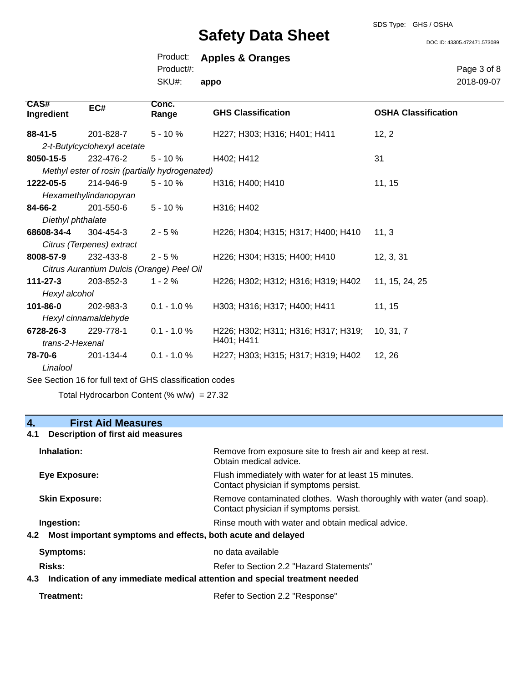SDS Type: GHS / OSHA

DOC ID: 43305.472471.573089

| Product:  | <b>Apples &amp; Oranges</b> |
|-----------|-----------------------------|
| Product#: |                             |
| SKU#:     | appo                        |

Page 3 of 8 2018-09-07

| <b>CAS#</b><br>Ingredient | EC#                         | Conc.<br>Range                                 | <b>GHS Classification</b>           | <b>OSHA Classification</b> |
|---------------------------|-----------------------------|------------------------------------------------|-------------------------------------|----------------------------|
| $88 - 41 - 5$             | 201-828-7                   | $5 - 10 \%$                                    | H227; H303; H316; H401; H411        | 12, 2                      |
|                           | 2-t-Butylcyclohexyl acetate |                                                |                                     |                            |
| 8050-15-5                 | 232-476-2                   | $5 - 10 \%$                                    | H402; H412                          | 31                         |
|                           |                             | Methyl ester of rosin (partially hydrogenated) |                                     |                            |
| 1222-05-5                 | 214-946-9                   | $5 - 10 \%$                                    | H316; H400; H410                    | 11, 15                     |
|                           | Hexamethylindanopyran       |                                                |                                     |                            |
| 84-66-2                   | 201-550-6                   | $5 - 10 \%$                                    | H316; H402                          |                            |
| Diethyl phthalate         |                             |                                                |                                     |                            |
| 68608-34-4                | 304-454-3                   | $2 - 5%$                                       | H226; H304; H315; H317; H400; H410  | 11, 3                      |
|                           | Citrus (Terpenes) extract   |                                                |                                     |                            |
| 8008-57-9                 | 232-433-8                   | $2 - 5%$                                       | H226; H304; H315; H400; H410        | 12, 3, 31                  |
|                           |                             | Citrus Aurantium Dulcis (Orange) Peel Oil      |                                     |                            |
| $111 - 27 - 3$            | 203-852-3                   | $1 - 2%$                                       | H226; H302; H312; H316; H319; H402  | 11, 15, 24, 25             |
| Hexyl alcohol             |                             |                                                |                                     |                            |
| 101-86-0                  | 202-983-3                   | $0.1 - 1.0 %$                                  | H303; H316; H317; H400; H411        | 11, 15                     |
|                           | Hexyl cinnamaldehyde        |                                                |                                     |                            |
| 6728-26-3                 | 229-778-1                   | $0.1 - 1.0 %$                                  | H226; H302; H311; H316; H317; H319; | 10, 31, 7                  |
| trans-2-Hexenal           |                             |                                                | H401; H411                          |                            |
| 78-70-6                   | 201-134-4                   | $0.1 - 1.0 %$                                  | H227; H303; H315; H317; H319; H402  | 12, 26                     |
| Linalool                  |                             |                                                |                                     |                            |

See Section 16 for full text of GHS classification codes

Total Hydrocarbon Content (%  $w/w$ ) = 27.32

### **4. First Aid Measures**

### **4.1 Description of first aid measures**

| Inhalation:                                                                   | Remove from exposure site to fresh air and keep at rest.<br>Obtain medical advice.                            |
|-------------------------------------------------------------------------------|---------------------------------------------------------------------------------------------------------------|
| Eye Exposure:                                                                 | Flush immediately with water for at least 15 minutes.<br>Contact physician if symptoms persist.               |
| <b>Skin Exposure:</b>                                                         | Remove contaminated clothes. Wash thoroughly with water (and soap).<br>Contact physician if symptoms persist. |
| Ingestion:<br>4.2 Most important symptoms and effects, both acute and delayed | Rinse mouth with water and obtain medical advice.                                                             |
| <b>Symptoms:</b>                                                              | no data available                                                                                             |
| Risks:                                                                        | Refer to Section 2.2 "Hazard Statements"                                                                      |
|                                                                               | 4.3 Indication of any immediate medical attention and special treatment needed                                |
| Treatment:                                                                    | Refer to Section 2.2 "Response"                                                                               |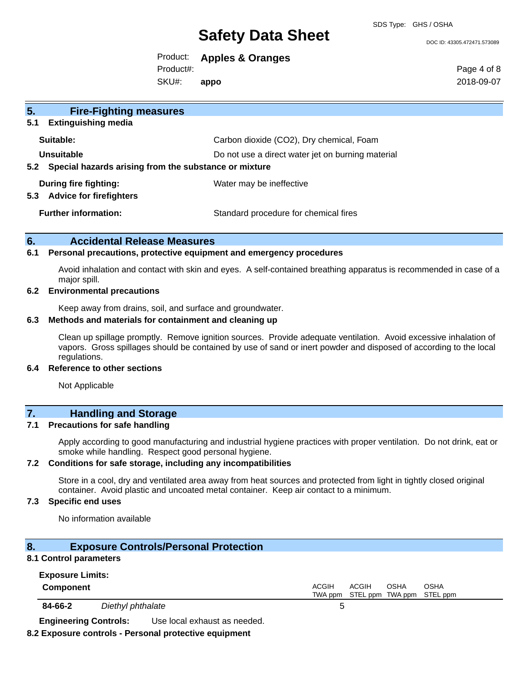SDS Type: GHS / OSHA

#### DOC ID: 43305.472471.573089

Product: **Apples & Oranges**

Product#:

SKU#: **appo** Page 4 of 8 2018-09-07

| 5.<br><b>Fire-Fighting measures</b>                          |                                                   |
|--------------------------------------------------------------|---------------------------------------------------|
| 5.1<br><b>Extinguishing media</b>                            |                                                   |
| Suitable:                                                    | Carbon dioxide (CO2), Dry chemical, Foam          |
| Unsuitable                                                   | Do not use a direct water jet on burning material |
| Special hazards arising from the substance or mixture<br>5.2 |                                                   |
| During fire fighting:                                        | Water may be ineffective                          |
| 5.3<br><b>Advice for firefighters</b>                        |                                                   |
| <b>Further information:</b>                                  | Standard procedure for chemical fires             |
|                                                              |                                                   |

#### **6. Accidental Release Measures**

#### **6.1 Personal precautions, protective equipment and emergency procedures**

Avoid inhalation and contact with skin and eyes. A self-contained breathing apparatus is recommended in case of a major spill.

#### **6.2 Environmental precautions**

Keep away from drains, soil, and surface and groundwater.

#### **6.3 Methods and materials for containment and cleaning up**

Clean up spillage promptly. Remove ignition sources. Provide adequate ventilation. Avoid excessive inhalation of vapors. Gross spillages should be contained by use of sand or inert powder and disposed of according to the local regulations.

#### **6.4 Reference to other sections**

Not Applicable

### **7. Handling and Storage**

#### **7.1 Precautions for safe handling**

Apply according to good manufacturing and industrial hygiene practices with proper ventilation. Do not drink, eat or smoke while handling. Respect good personal hygiene.

#### **7.2 Conditions for safe storage, including any incompatibilities**

Store in a cool, dry and ventilated area away from heat sources and protected from light in tightly closed original container. Avoid plastic and uncoated metal container. Keep air contact to a minimum.

#### **7.3 Specific end uses**

No information available

| 8.<br>8.1 Control parameters                | <b>Exposure Controls/Personal Protection</b>                                          |                         |       |                          |                         |
|---------------------------------------------|---------------------------------------------------------------------------------------|-------------------------|-------|--------------------------|-------------------------|
| <b>Exposure Limits:</b><br><b>Component</b> |                                                                                       | <b>ACGIH</b><br>TWA ppm | ACGIH | OSHA<br>STEL ppm TWA ppm | <b>OSHA</b><br>STEL ppm |
| 84-66-2                                     | Diethyl phthalate                                                                     | 5                       |       |                          |                         |
| <b>Engineering Controls:</b>                | Use local exhaust as needed.<br>8.2 Exposure controls - Personal protective equipment |                         |       |                          |                         |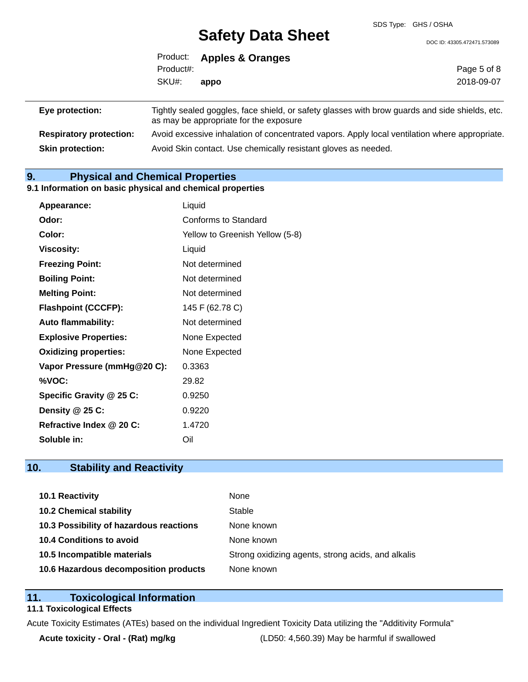DOC ID: 43305.472471.573089

|                   | Product: Apples & Oranges |
|-------------------|---------------------------|
| Product#:         |                           |
| SKU#: <b>appo</b> |                           |

| Eye protection:                | Tightly sealed goggles, face shield, or safety glasses with brow guards and side shields, etc.                                          |
|--------------------------------|-----------------------------------------------------------------------------------------------------------------------------------------|
| <b>Respiratory protection:</b> | as may be appropriate for the exposure<br>Avoid excessive inhalation of concentrated vapors. Apply local ventilation where appropriate. |
| <b>Skin protection:</b>        | Avoid Skin contact. Use chemically resistant gloves as needed.                                                                          |

### **9. Physical and Chemical Properties**

#### **9.1 Information on basic physical and chemical properties**

| Appearance:                  | Liquid                          |
|------------------------------|---------------------------------|
| Odor:                        | Conforms to Standard            |
| Color:                       | Yellow to Greenish Yellow (5-8) |
| <b>Viscosity:</b>            | Liquid                          |
| <b>Freezing Point:</b>       | Not determined                  |
| <b>Boiling Point:</b>        | Not determined                  |
| <b>Melting Point:</b>        | Not determined                  |
| <b>Flashpoint (CCCFP):</b>   | 145 F (62.78 C)                 |
| <b>Auto flammability:</b>    | Not determined                  |
| <b>Explosive Properties:</b> | None Expected                   |
| <b>Oxidizing properties:</b> | None Expected                   |
| Vapor Pressure (mmHg@20 C):  | 0.3363                          |
| %VOC:                        | 29.82                           |
| Specific Gravity @ 25 C:     | 0.9250                          |
| Density @ 25 C:              | 0.9220                          |
| Refractive Index @ 20 C:     | 1.4720                          |
| Soluble in:                  | Oil                             |

### **10. Stability and Reactivity**

| <b>10.1 Reactivity</b>                  | None                                               |
|-----------------------------------------|----------------------------------------------------|
| <b>10.2 Chemical stability</b>          | Stable                                             |
| 10.3 Possibility of hazardous reactions | None known                                         |
| 10.4 Conditions to avoid                | None known                                         |
| 10.5 Incompatible materials             | Strong oxidizing agents, strong acids, and alkalis |
| 10.6 Hazardous decomposition products   | None known                                         |

## **11. Toxicological Information**

#### **11.1 Toxicological Effects**

Acute Toxicity Estimates (ATEs) based on the individual Ingredient Toxicity Data utilizing the "Additivity Formula"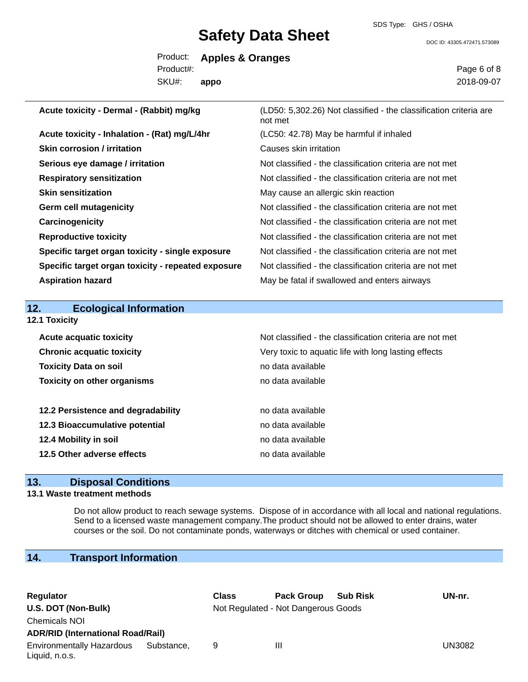SDS Type: GHS / OSHA

DOC ID: 43305.472471.573089

|           | Product: Apples & Oranges |
|-----------|---------------------------|
| Product#: |                           |
| SKU#:     | appo                      |

Page 6 of 8 2018-09-07

| Acute toxicity - Dermal - (Rabbit) mg/kg           | (LD50: 5,302.26) Not classified - the classification criteria are<br>not met |
|----------------------------------------------------|------------------------------------------------------------------------------|
| Acute toxicity - Inhalation - (Rat) mg/L/4hr       | (LC50: 42.78) May be harmful if inhaled                                      |
| Skin corrosion / irritation                        | Causes skin irritation                                                       |
| Serious eye damage / irritation                    | Not classified - the classification criteria are not met                     |
| <b>Respiratory sensitization</b>                   | Not classified - the classification criteria are not met                     |
| <b>Skin sensitization</b>                          | May cause an allergic skin reaction                                          |
| <b>Germ cell mutagenicity</b>                      | Not classified - the classification criteria are not met                     |
| Carcinogenicity                                    | Not classified - the classification criteria are not met                     |
| <b>Reproductive toxicity</b>                       | Not classified - the classification criteria are not met                     |
| Specific target organ toxicity - single exposure   | Not classified - the classification criteria are not met                     |
| Specific target organ toxicity - repeated exposure | Not classified - the classification criteria are not met                     |
| <b>Aspiration hazard</b>                           | May be fatal if swallowed and enters airways                                 |
|                                                    |                                                                              |
| 12.<br><b>Ecological Information</b>               |                                                                              |
| 12.1 Toxicity                                      |                                                                              |
| <b>Acute acquatic toxicity</b>                     | Not classified - the classification criteria are not met                     |
| <b>Chronic acquatic toxicity</b>                   | Very toxic to aquatic life with long lasting effects                         |

| Chronic acquatic toxicity          | Very toxic to aquatic life with long lasting effects |
|------------------------------------|------------------------------------------------------|
| <b>Toxicity Data on soil</b>       | no data available                                    |
| <b>Toxicity on other organisms</b> | no data available                                    |
|                                    |                                                      |
| 12.2 Persistence and degradability | no data available                                    |
| 12.3 Bioaccumulative potential     | no data available                                    |
| 12.4 Mobility in soil              | no data available                                    |
| 12.5 Other adverse effects         | no data available                                    |
|                                    |                                                      |

## **13. Disposal Conditions**

#### **13.1 Waste treatment methods**

Do not allow product to reach sewage systems. Dispose of in accordance with all local and national regulations. Send to a licensed waste management company.The product should not be allowed to enter drains, water courses or the soil. Do not contaminate ponds, waterways or ditches with chemical or used container.

### **14. Transport Information**

| Regulator                                          |            | <b>Class</b> | <b>Pack Group</b>                   | <b>Sub Risk</b> | UN-nr. |
|----------------------------------------------------|------------|--------------|-------------------------------------|-----------------|--------|
| U.S. DOT (Non-Bulk)                                |            |              | Not Regulated - Not Dangerous Goods |                 |        |
| <b>Chemicals NOI</b>                               |            |              |                                     |                 |        |
| <b>ADR/RID (International Road/Rail)</b>           |            |              |                                     |                 |        |
| <b>Environmentally Hazardous</b><br>Liquid, n.o.s. | Substance. | 9            | Ш                                   |                 | UN3082 |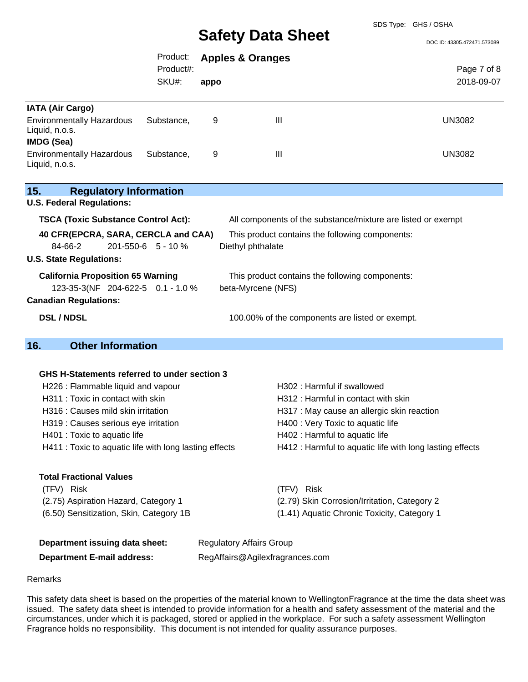SDS Type: GHS / OSHA

DOC ID: 43305.472471.573089

|                                                                                        | Product:<br>Product#: |                                 | <b>Apples &amp; Oranges</b>                                  | Page 7 of 8                                              |
|----------------------------------------------------------------------------------------|-----------------------|---------------------------------|--------------------------------------------------------------|----------------------------------------------------------|
|                                                                                        | SKU#:                 | appo                            |                                                              | 2018-09-07                                               |
| <b>IATA (Air Cargo)</b>                                                                |                       |                                 |                                                              |                                                          |
| <b>Environmentally Hazardous</b><br>Liquid, n.o.s.<br><b>IMDG (Sea)</b>                | Substance,            | 9                               | $\mathbf{III}$                                               | <b>UN3082</b>                                            |
| <b>Environmentally Hazardous</b><br>Liquid, n.o.s.                                     | Substance,            | 9                               | Ш                                                            | <b>UN3082</b>                                            |
| 15.<br><b>Regulatory Information</b><br><b>U.S. Federal Regulations:</b>               |                       |                                 |                                                              |                                                          |
| <b>TSCA (Toxic Substance Control Act):</b>                                             |                       |                                 | All components of the substance/mixture are listed or exempt |                                                          |
| 40 CFR(EPCRA, SARA, CERCLA and CAA)<br>This product contains the following components: |                       |                                 |                                                              |                                                          |
| 84-66-2                                                                                | 201-550-6 5 - 10 %    |                                 | Diethyl phthalate                                            |                                                          |
| <b>U.S. State Regulations:</b>                                                         |                       |                                 |                                                              |                                                          |
| <b>California Proposition 65 Warning</b>                                               |                       |                                 | This product contains the following components:              |                                                          |
| 123-35-3(NF 204-622-5 0.1 - 1.0 %                                                      |                       |                                 | beta-Myrcene (NFS)                                           |                                                          |
| <b>Canadian Regulations:</b>                                                           |                       |                                 |                                                              |                                                          |
| <b>DSL / NDSL</b>                                                                      |                       |                                 | 100.00% of the components are listed or exempt.              |                                                          |
|                                                                                        |                       |                                 |                                                              |                                                          |
| <b>Other Information</b><br>16.                                                        |                       |                                 |                                                              |                                                          |
|                                                                                        |                       |                                 |                                                              |                                                          |
| GHS H-Statements referred to under section 3                                           |                       |                                 |                                                              |                                                          |
| H226 : Flammable liquid and vapour                                                     |                       |                                 | H302: Harmful if swallowed                                   |                                                          |
| H311 : Toxic in contact with skin                                                      |                       |                                 | H312 : Harmful in contact with skin                          |                                                          |
| H316 : Causes mild skin irritation                                                     |                       |                                 | H317 : May cause an allergic skin reaction                   |                                                          |
| H319 : Causes serious eye irritation                                                   |                       |                                 | H400 : Very Toxic to aquatic life                            |                                                          |
| H401 : Toxic to aquatic life                                                           |                       |                                 | H402 : Harmful to aquatic life                               |                                                          |
| H411 : Toxic to aquatic life with long lasting effects                                 |                       |                                 |                                                              | H412 : Harmful to aquatic life with long lasting effects |
| <b>Total Fractional Values</b>                                                         |                       |                                 |                                                              |                                                          |
| (TFV) Risk                                                                             |                       |                                 | (TFV) Risk                                                   |                                                          |
| (2.75) Aspiration Hazard, Category 1                                                   |                       |                                 | (2.79) Skin Corrosion/Irritation, Category 2                 |                                                          |
| (6.50) Sensitization, Skin, Category 1B                                                |                       |                                 | (1.41) Aquatic Chronic Toxicity, Category 1                  |                                                          |
| Department issuing data sheet:                                                         |                       |                                 | <b>Regulatory Affairs Group</b>                              |                                                          |
| <b>Department E-mail address:</b>                                                      |                       | RegAffairs@Agilexfragrances.com |                                                              |                                                          |

#### Remarks

This safety data sheet is based on the properties of the material known to WellingtonFragrance at the time the data sheet was issued. The safety data sheet is intended to provide information for a health and safety assessment of the material and the circumstances, under which it is packaged, stored or applied in the workplace. For such a safety assessment Wellington Fragrance holds no responsibility. This document is not intended for quality assurance purposes.